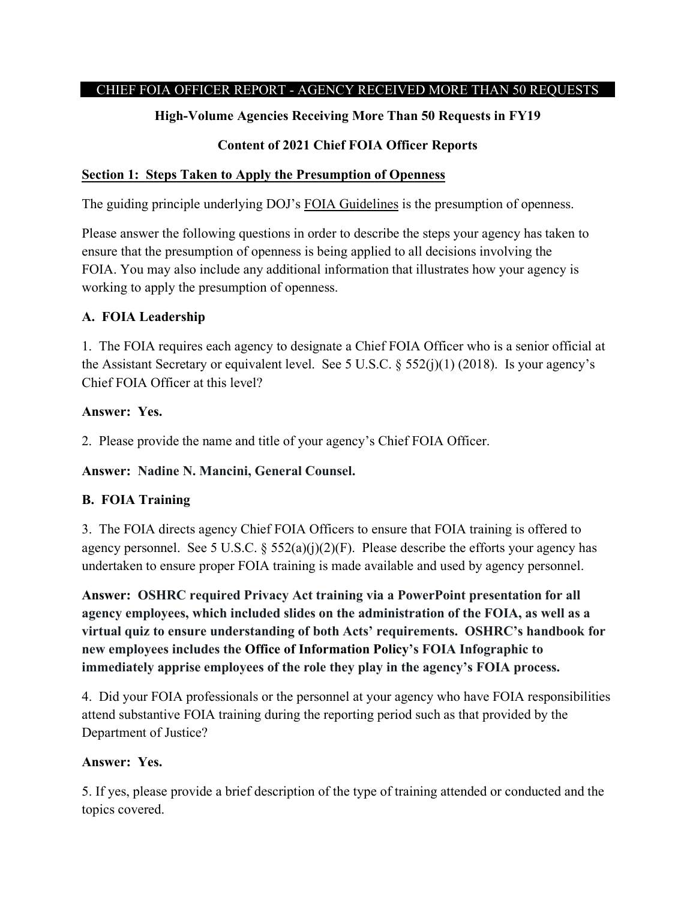## CHIEF FOIA OFFICER REPORT - AGENCY RECEIVED MORE THAN 50 REQUESTS

## **High-Volume Agencies Receiving More Than 50 Requests in FY19**

## **Content of 2021 Chief FOIA Officer Reports**

#### **Section 1: Steps Taken to Apply the Presumption of Openness**

The guiding principle underlying DOJ's [FOIA Guidelines](http://justice.gov/ag/foia-memo-march2009.pdf) is the presumption of openness.

Please answer the following questions in order to describe the steps your agency has taken to ensure that the presumption of openness is being applied to all decisions involving the FOIA. You may also include any additional information that illustrates how your agency is working to apply the presumption of openness.

## **A. FOIA Leadership**

1. The FOIA requires each agency to designate a Chief FOIA Officer who is a senior official at the Assistant Secretary or equivalent level. See 5 U.S.C.  $\S$  552(j)(1) (2018). Is your agency's Chief FOIA Officer at this level?

## **Answer: Yes.**

2. Please provide the name and title of your agency's Chief FOIA Officer.

**Answer: Nadine N. Mancini, General Counsel.**

## **B. FOIA Training**

3. The FOIA directs agency Chief FOIA Officers to ensure that FOIA training is offered to agency personnel. See 5 U.S.C.  $\S 552(a)(i)(2)(F)$ . Please describe the efforts your agency has undertaken to ensure proper FOIA training is made available and used by agency personnel.

**Answer: OSHRC required Privacy Act training via a PowerPoint presentation for all agency employees, which included slides on the administration of the FOIA, as well as a virtual quiz to ensure understanding of both Acts' requirements. OSHRC's handbook for new employees includes the Office of Information Policy's FOIA Infographic to immediately apprise employees of the role they play in the agency's FOIA process.** 

4. Did your FOIA professionals or the personnel at your agency who have FOIA responsibilities attend substantive FOIA training during the reporting period such as that provided by the Department of Justice?

## **Answer: Yes.**

5. If yes, please provide a brief description of the type of training attended or conducted and the topics covered.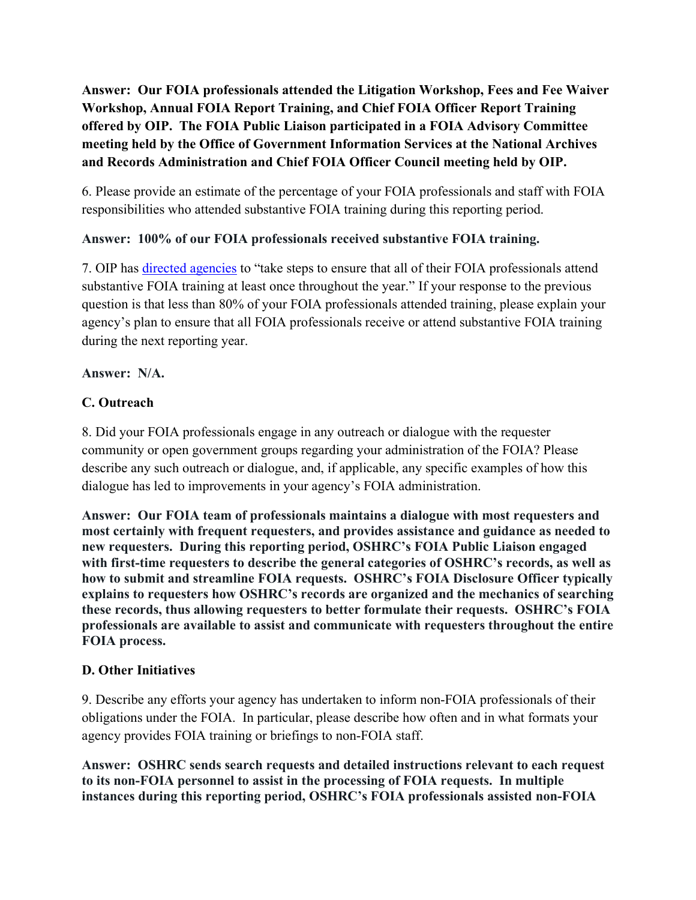**Answer: Our FOIA professionals attended the Litigation Workshop, Fees and Fee Waiver Workshop, Annual FOIA Report Training, and Chief FOIA Officer Report Training offered by OIP. The FOIA Public Liaison participated in a FOIA Advisory Committee meeting held by the Office of Government Information Services at the National Archives and Records Administration and Chief FOIA Officer Council meeting held by OIP.** 

6. Please provide an estimate of the percentage of your FOIA professionals and staff with FOIA responsibilities who attended substantive FOIA training during this reporting period.

## **Answer: 100% of our FOIA professionals received substantive FOIA training.**

7. OIP has [directed agencies](https://www.justice.gov/oip/oip-guidance-9) to "take steps to ensure that all of their FOIA professionals attend substantive FOIA training at least once throughout the year." If your response to the previous question is that less than 80% of your FOIA professionals attended training, please explain your agency's plan to ensure that all FOIA professionals receive or attend substantive FOIA training during the next reporting year.

## **Answer: N/A.**

# **C. Outreach**

8. Did your FOIA professionals engage in any outreach or dialogue with the requester community or open government groups regarding your administration of the FOIA? Please describe any such outreach or dialogue, and, if applicable, any specific examples of how this dialogue has led to improvements in your agency's FOIA administration.

**Answer: Our FOIA team of professionals maintains a dialogue with most requesters and most certainly with frequent requesters, and provides assistance and guidance as needed to new requesters. During this reporting period, OSHRC's FOIA Public Liaison engaged with first-time requesters to describe the general categories of OSHRC's records, as well as how to submit and streamline FOIA requests. OSHRC's FOIA Disclosure Officer typically explains to requesters how OSHRC's records are organized and the mechanics of searching these records, thus allowing requesters to better formulate their requests. OSHRC's FOIA professionals are available to assist and communicate with requesters throughout the entire FOIA process.** 

# **D. Other Initiatives**

9. Describe any efforts your agency has undertaken to inform non-FOIA professionals of their obligations under the FOIA. In particular, please describe how often and in what formats your agency provides FOIA training or briefings to non-FOIA staff.

**Answer: OSHRC sends search requests and detailed instructions relevant to each request to its non-FOIA personnel to assist in the processing of FOIA requests. In multiple instances during this reporting period, OSHRC's FOIA professionals assisted non-FOIA**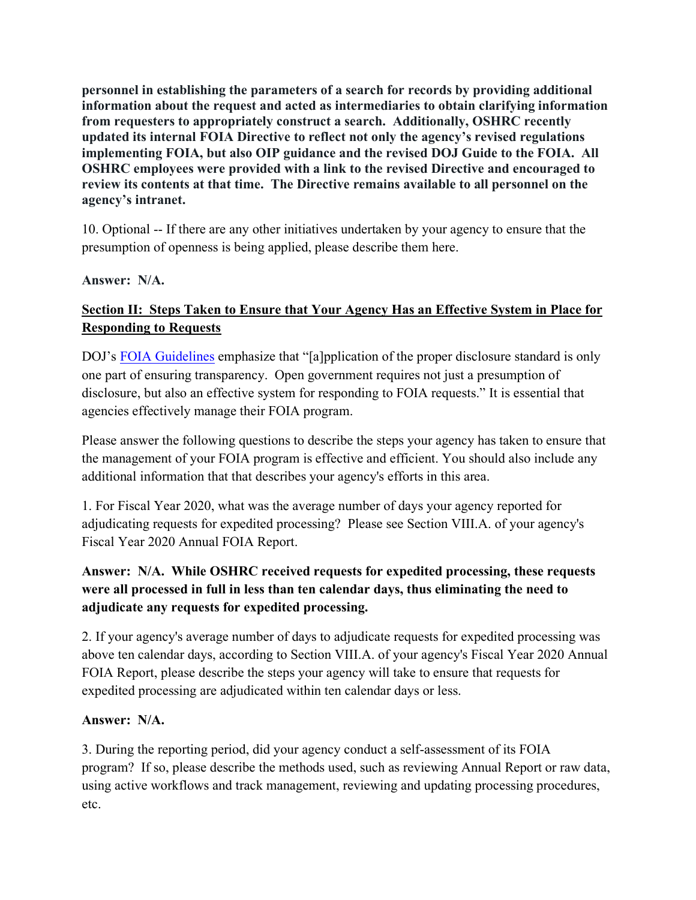**personnel in establishing the parameters of a search for records by providing additional information about the request and acted as intermediaries to obtain clarifying information from requesters to appropriately construct a search. Additionally, OSHRC recently updated its internal FOIA Directive to reflect not only the agency's revised regulations implementing FOIA, but also OIP guidance and the revised DOJ Guide to the FOIA. All OSHRC employees were provided with a link to the revised Directive and encouraged to review its contents at that time. The Directive remains available to all personnel on the agency's intranet.** 

10. Optional -- If there are any other initiatives undertaken by your agency to ensure that the presumption of openness is being applied, please describe them here.

## **Answer: N/A.**

# **Section II: Steps Taken to Ensure that Your Agency Has an Effective System in Place for Responding to Requests**

DOJ's [FOIA Guidelines](http://justice.gov/ag/foia-memo-march2009.pdf) emphasize that "[a]pplication of the proper disclosure standard is only one part of ensuring transparency. Open government requires not just a presumption of disclosure, but also an effective system for responding to FOIA requests." It is essential that agencies effectively manage their FOIA program.

Please answer the following questions to describe the steps your agency has taken to ensure that the management of your FOIA program is effective and efficient. You should also include any additional information that that describes your agency's efforts in this area.

1. For Fiscal Year 2020, what was the average number of days your agency reported for adjudicating requests for expedited processing? Please see Section VIII.A. of your agency's Fiscal Year 2020 Annual FOIA Report.

# **Answer: N/A. While OSHRC received requests for expedited processing, these requests were all processed in full in less than ten calendar days, thus eliminating the need to adjudicate any requests for expedited processing.**

2. If your agency's average number of days to adjudicate requests for expedited processing was above ten calendar days, according to Section VIII.A. of your agency's Fiscal Year 2020 Annual FOIA Report, please describe the steps your agency will take to ensure that requests for expedited processing are adjudicated within ten calendar days or less.

## **Answer: N/A.**

3. During the reporting period, did your agency conduct a self-assessment of its FOIA program? If so, please describe the methods used, such as reviewing Annual Report or raw data, using active workflows and track management, reviewing and updating processing procedures, etc.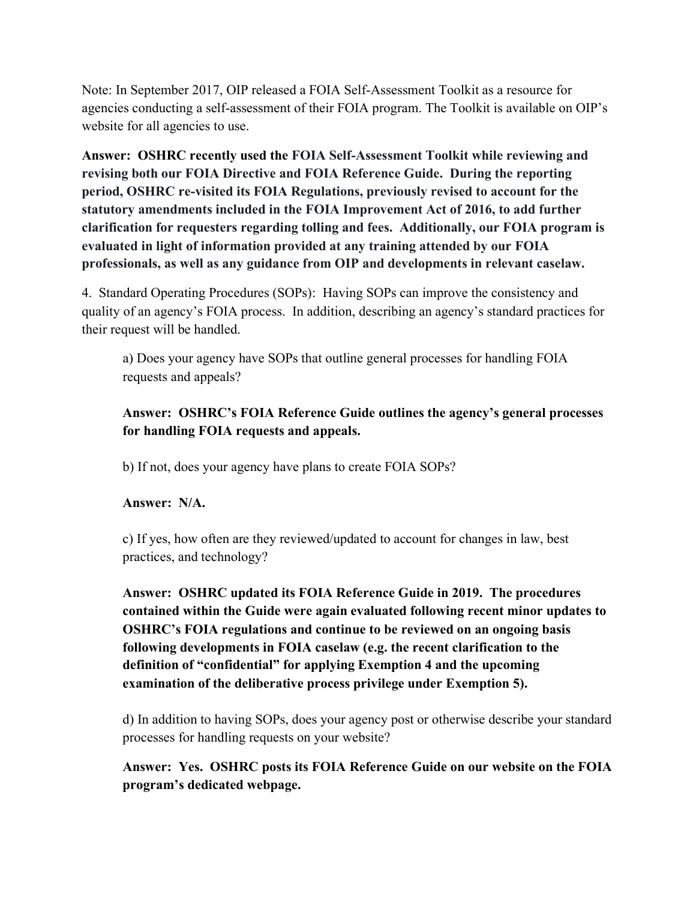Note: In September 2017, OIP released a FOIA Self-Assessment Toolkit as a resource for agencies conducting a self-assessment of their FOIA program. The Toolkit is available on OIP's website for all agencies to use.

**Answer: OSHRC recently used the FOIA Self-Assessment Toolkit while reviewing and revising both our FOIA Directive and FOIA Reference Guide. During the reporting period, OSHRC re-visited its FOIA Regulations, previously revised to account for the statutory amendments included in the FOIA Improvement Act of 2016, to add further clarification for requesters regarding tolling and fees. Additionally, our FOIA program is evaluated in light of information provided at any training attended by our FOIA professionals, as well as any guidance from OIP and developments in relevant caselaw.** 

4. Standard Operating Procedures (SOPs): Having SOPs can improve the consistency and quality of an agency's FOIA process. In addition, describing an agency's standard practices for their request will be handled.

a) Does your agency have SOPs that outline general processes for handling FOIA requests and appeals?

# **Answer: OSHRC's FOIA Reference Guide outlines the agency's general processes for handling FOIA requests and appeals.**

b) If not, does your agency have plans to create FOIA SOPs?

# **Answer: N/A.**

c) If yes, how often are they reviewed/updated to account for changes in law, best practices, and technology?

**Answer: OSHRC updated its FOIA Reference Guide in 2019. The procedures contained within the Guide were again evaluated following recent minor updates to OSHRC's FOIA regulations and continue to be reviewed on an ongoing basis following developments in FOIA caselaw (e.g. the recent clarification to the definition of "confidential" for applying Exemption 4 and the upcoming examination of the deliberative process privilege under Exemption 5).** 

d) In addition to having SOPs, does your agency post or otherwise describe your standard processes for handling requests on your website?

**Answer: Yes. OSHRC posts its FOIA Reference Guide on our website on the FOIA program's dedicated webpage.**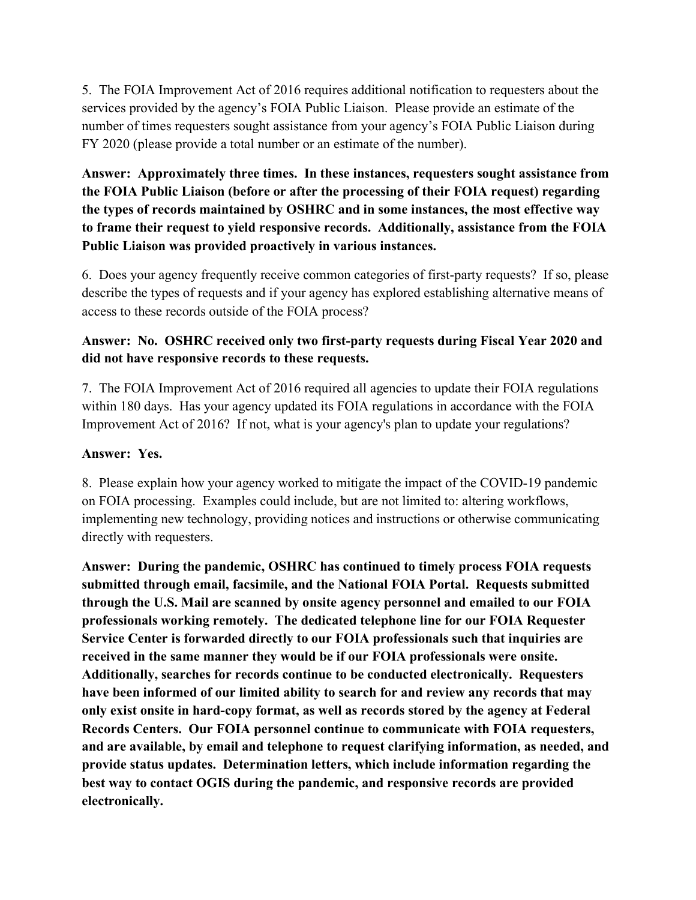5. The FOIA Improvement Act of 2016 requires additional notification to requesters about the services provided by the agency's FOIA Public Liaison. Please provide an estimate of the number of times requesters sought assistance from your agency's FOIA Public Liaison during FY 2020 (please provide a total number or an estimate of the number).

**Answer: Approximately three times. In these instances, requesters sought assistance from the FOIA Public Liaison (before or after the processing of their FOIA request) regarding the types of records maintained by OSHRC and in some instances, the most effective way to frame their request to yield responsive records. Additionally, assistance from the FOIA Public Liaison was provided proactively in various instances.** 

6. Does your agency frequently receive common categories of first-party requests? If so, please describe the types of requests and if your agency has explored establishing alternative means of access to these records outside of the FOIA process?

# **Answer: No. OSHRC received only two first-party requests during Fiscal Year 2020 and did not have responsive records to these requests.**

7. The FOIA Improvement Act of 2016 required all agencies to update their FOIA regulations within 180 days. Has your agency updated its FOIA regulations in accordance with the FOIA Improvement Act of 2016? If not, what is your agency's plan to update your regulations?

## **Answer: Yes.**

8. Please explain how your agency worked to mitigate the impact of the COVID-19 pandemic on FOIA processing. Examples could include, but are not limited to: altering workflows, implementing new technology, providing notices and instructions or otherwise communicating directly with requesters.

**Answer: During the pandemic, OSHRC has continued to timely process FOIA requests submitted through email, facsimile, and the National FOIA Portal. Requests submitted through the U.S. Mail are scanned by onsite agency personnel and emailed to our FOIA professionals working remotely. The dedicated telephone line for our FOIA Requester Service Center is forwarded directly to our FOIA professionals such that inquiries are received in the same manner they would be if our FOIA professionals were onsite. Additionally, searches for records continue to be conducted electronically. Requesters have been informed of our limited ability to search for and review any records that may only exist onsite in hard-copy format, as well as records stored by the agency at Federal Records Centers. Our FOIA personnel continue to communicate with FOIA requesters, and are available, by email and telephone to request clarifying information, as needed, and provide status updates. Determination letters, which include information regarding the best way to contact OGIS during the pandemic, and responsive records are provided electronically.**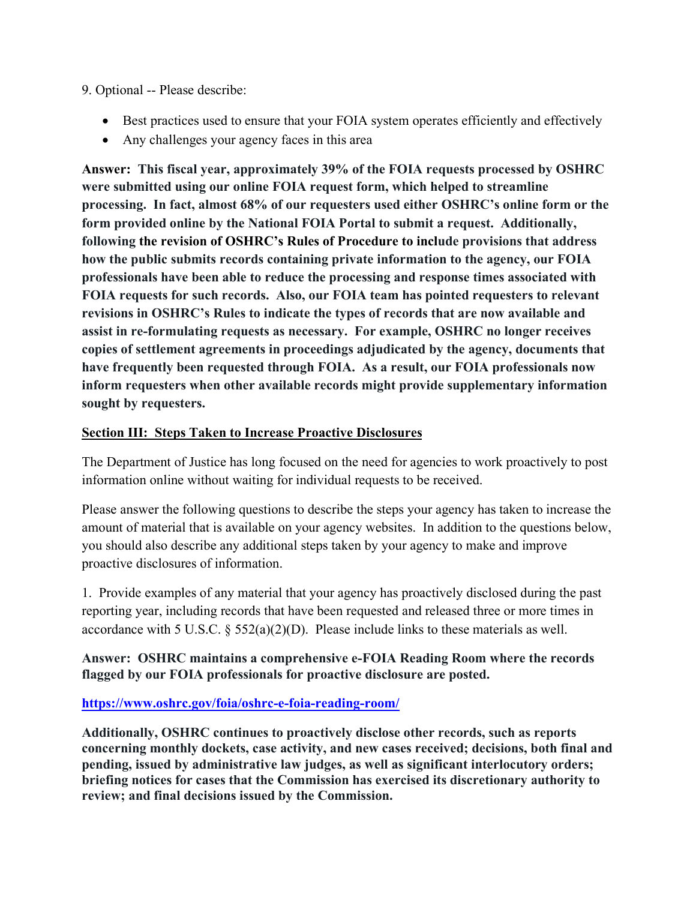#### 9. Optional -- Please describe:

- Best practices used to ensure that your FOIA system operates efficiently and effectively
- Any challenges your agency faces in this area

**Answer: This fiscal year, approximately 39% of the FOIA requests processed by OSHRC were submitted using our online FOIA request form, which helped to streamline processing. In fact, almost 68% of our requesters used either OSHRC's online form or the form provided online by the National FOIA Portal to submit a request. Additionally, following the revision of OSHRC's Rules of Procedure to include provisions that address how the public submits records containing private information to the agency, our FOIA professionals have been able to reduce the processing and response times associated with FOIA requests for such records. Also, our FOIA team has pointed requesters to relevant revisions in OSHRC's Rules to indicate the types of records that are now available and assist in re-formulating requests as necessary. For example, OSHRC no longer receives copies of settlement agreements in proceedings adjudicated by the agency, documents that have frequently been requested through FOIA. As a result, our FOIA professionals now inform requesters when other available records might provide supplementary information sought by requesters.** 

## **Section III: Steps Taken to Increase Proactive Disclosures**

The Department of Justice has long focused on the need for agencies to work proactively to post information online without waiting for individual requests to be received.

Please answer the following questions to describe the steps your agency has taken to increase the amount of material that is available on your agency websites. In addition to the questions below, you should also describe any additional steps taken by your agency to make and improve proactive disclosures of information.

1. Provide examples of any material that your agency has proactively disclosed during the past reporting year, including records that have been requested and released three or more times in accordance with 5 U.S.C. § 552(a)(2)(D). Please include links to these materials as well.

## **Answer: OSHRC maintains a comprehensive e-FOIA Reading Room where the records flagged by our FOIA professionals for proactive disclosure are posted.**

## **<https://www.oshrc.gov/foia/oshrc-e-foia-reading-room/>**

**Additionally, OSHRC continues to proactively disclose other records, such as reports concerning monthly dockets, case activity, and new cases received; decisions, both final and pending, issued by administrative law judges, as well as significant interlocutory orders; briefing notices for cases that the Commission has exercised its discretionary authority to review; and final decisions issued by the Commission.**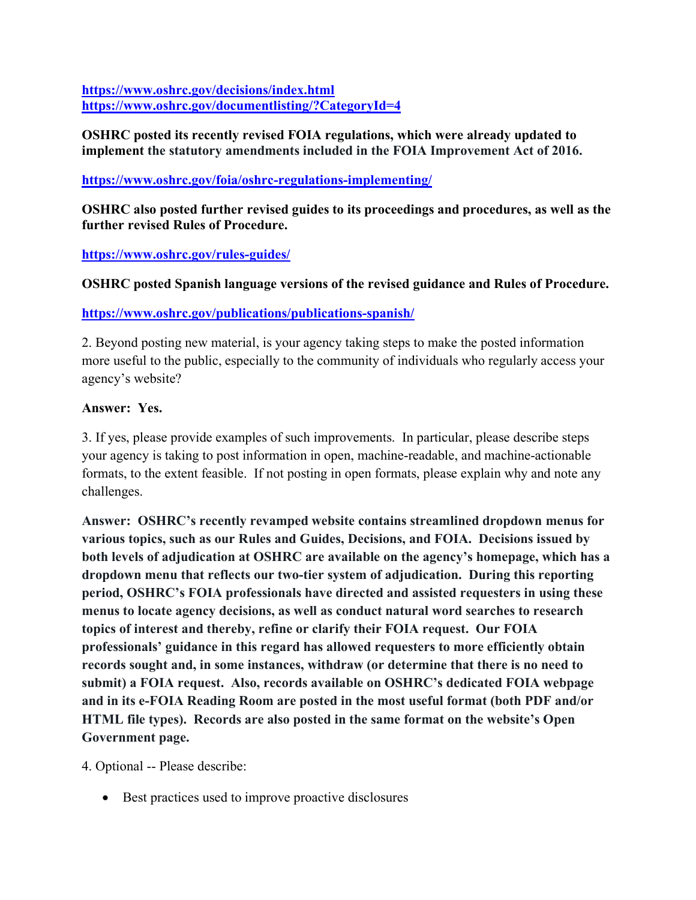**<https://www.oshrc.gov/decisions/index.html> <https://www.oshrc.gov/documentlisting/?CategoryId=4>**

#### **OSHRC posted its recently revised FOIA regulations, which were already updated to implement the statutory amendments included in the FOIA Improvement Act of 2016.**

## **<https://www.oshrc.gov/foia/oshrc-regulations-implementing/>**

**OSHRC also posted further revised guides to its proceedings and procedures, as well as the further revised Rules of Procedure.** 

## **<https://www.oshrc.gov/rules-guides/>**

## **OSHRC posted Spanish language versions of the revised guidance and Rules of Procedure.**

## **<https://www.oshrc.gov/publications/publications-spanish/>**

2. Beyond posting new material, is your agency taking steps to make the posted information more useful to the public, especially to the community of individuals who regularly access your agency's website?

## **Answer: Yes.**

3. If yes, please provide examples of such improvements. In particular, please describe steps your agency is taking to post information in open, machine-readable, and machine-actionable formats, to the extent feasible. If not posting in open formats, please explain why and note any challenges.

**Answer: OSHRC's recently revamped website contains streamlined dropdown menus for various topics, such as our Rules and Guides, Decisions, and FOIA. Decisions issued by both levels of adjudication at OSHRC are available on the agency's homepage, which has a dropdown menu that reflects our two-tier system of adjudication. During this reporting period, OSHRC's FOIA professionals have directed and assisted requesters in using these menus to locate agency decisions, as well as conduct natural word searches to research topics of interest and thereby, refine or clarify their FOIA request. Our FOIA professionals' guidance in this regard has allowed requesters to more efficiently obtain records sought and, in some instances, withdraw (or determine that there is no need to submit) a FOIA request. Also, records available on OSHRC's dedicated FOIA webpage and in its e-FOIA Reading Room are posted in the most useful format (both PDF and/or HTML file types). Records are also posted in the same format on the website's Open Government page.** 

4. Optional -- Please describe:

• Best practices used to improve proactive disclosures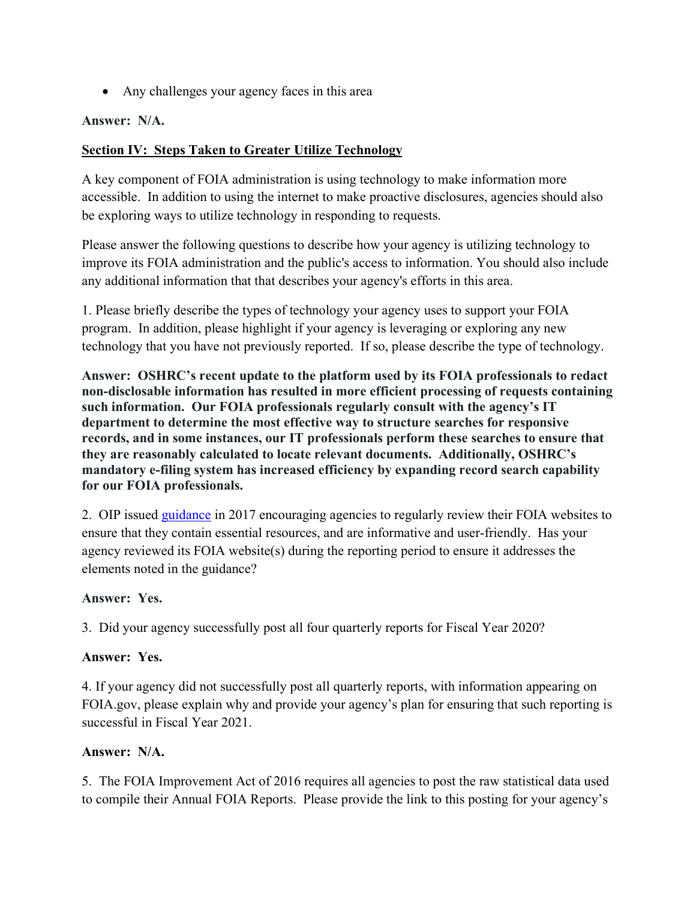• Any challenges your agency faces in this area

#### **Answer: N/A.**

#### **Section IV: Steps Taken to Greater Utilize Technology**

A key component of FOIA administration is using technology to make information more accessible. In addition to using the internet to make proactive disclosures, agencies should also be exploring ways to utilize technology in responding to requests.

Please answer the following questions to describe how your agency is utilizing technology to improve its FOIA administration and the public's access to information. You should also include any additional information that that describes your agency's efforts in this area.

1. Please briefly describe the types of technology your agency uses to support your FOIA program. In addition, please highlight if your agency is leveraging or exploring any new technology that you have not previously reported. If so, please describe the type of technology.

**Answer: OSHRC's recent update to the platform used by its FOIA professionals to redact non-disclosable information has resulted in more efficient processing of requests containing such information. Our FOIA professionals regularly consult with the agency's IT department to determine the most effective way to structure searches for responsive records, and in some instances, our IT professionals perform these searches to ensure that they are reasonably calculated to locate relevant documents. Additionally, OSHRC's mandatory e-filing system has increased efficiency by expanding record search capability for our FOIA professionals.** 

2. OIP issued [guidance](https://www.justice.gov/oip/oip-guidance/OIP%20Guidance%3A%20%20Agency%20FOIA%20Websites%202.0) in 2017 encouraging agencies to regularly review their FOIA websites to ensure that they contain essential resources, and are informative and user-friendly. Has your agency reviewed its FOIA website(s) during the reporting period to ensure it addresses the elements noted in the guidance?

## **Answer: Yes.**

3. Did your agency successfully post all four quarterly reports for Fiscal Year 2020?

#### **Answer: Yes.**

4. If your agency did not successfully post all quarterly reports, with information appearing on FOIA.gov, please explain why and provide your agency's plan for ensuring that such reporting is successful in Fiscal Year 2021.

#### **Answer: N/A.**

5. The FOIA Improvement Act of 2016 requires all agencies to post the raw statistical data used to compile their Annual FOIA Reports. Please provide the link to this posting for your agency's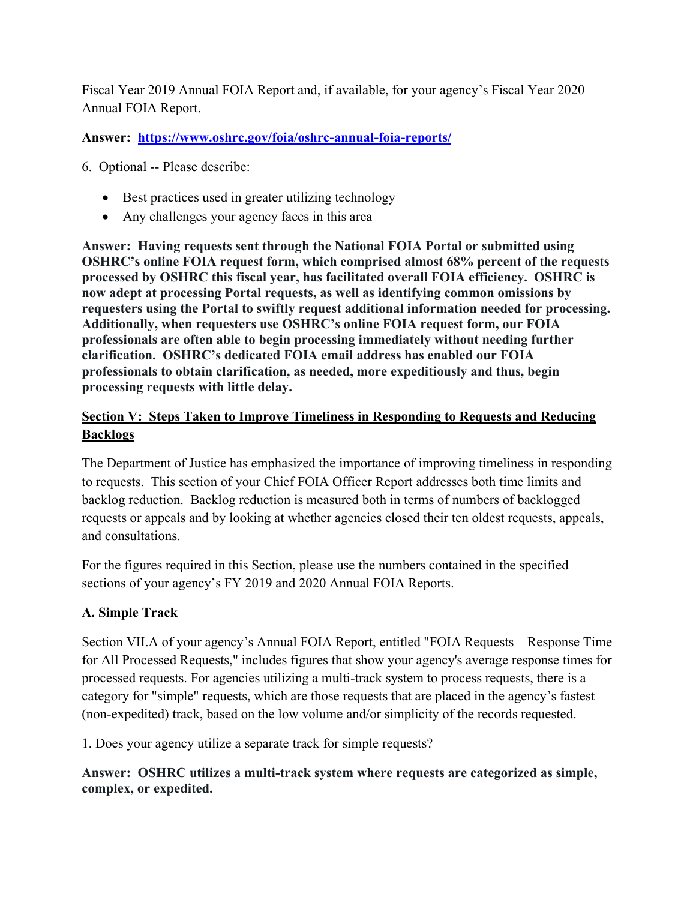Fiscal Year 2019 Annual FOIA Report and, if available, for your agency's Fiscal Year 2020 Annual FOIA Report.

**Answer: <https://www.oshrc.gov/foia/oshrc-annual-foia-reports/>**

6. Optional -- Please describe:

- Best practices used in greater utilizing technology
- Any challenges your agency faces in this area

**Answer: Having requests sent through the National FOIA Portal or submitted using OSHRC's online FOIA request form, which comprised almost 68% percent of the requests processed by OSHRC this fiscal year, has facilitated overall FOIA efficiency. OSHRC is now adept at processing Portal requests, as well as identifying common omissions by requesters using the Portal to swiftly request additional information needed for processing. Additionally, when requesters use OSHRC's online FOIA request form, our FOIA professionals are often able to begin processing immediately without needing further clarification. OSHRC's dedicated FOIA email address has enabled our FOIA professionals to obtain clarification, as needed, more expeditiously and thus, begin processing requests with little delay.** 

# **Section V: Steps Taken to Improve Timeliness in Responding to Requests and Reducing Backlogs**

The Department of Justice has emphasized the importance of improving timeliness in responding to requests. This section of your Chief FOIA Officer Report addresses both time limits and backlog reduction. Backlog reduction is measured both in terms of numbers of backlogged requests or appeals and by looking at whether agencies closed their ten oldest requests, appeals, and consultations.

For the figures required in this Section, please use the numbers contained in the specified sections of your agency's FY 2019 and 2020 Annual FOIA Reports.

# **A. Simple Track**

Section VII.A of your agency's Annual FOIA Report, entitled "FOIA Requests – Response Time for All Processed Requests," includes figures that show your agency's average response times for processed requests. For agencies utilizing a multi-track system to process requests, there is a category for "simple" requests, which are those requests that are placed in the agency's fastest (non-expedited) track, based on the low volume and/or simplicity of the records requested.

1. Does your agency utilize a separate track for simple requests?

**Answer: OSHRC utilizes a multi-track system where requests are categorized as simple, complex, or expedited.**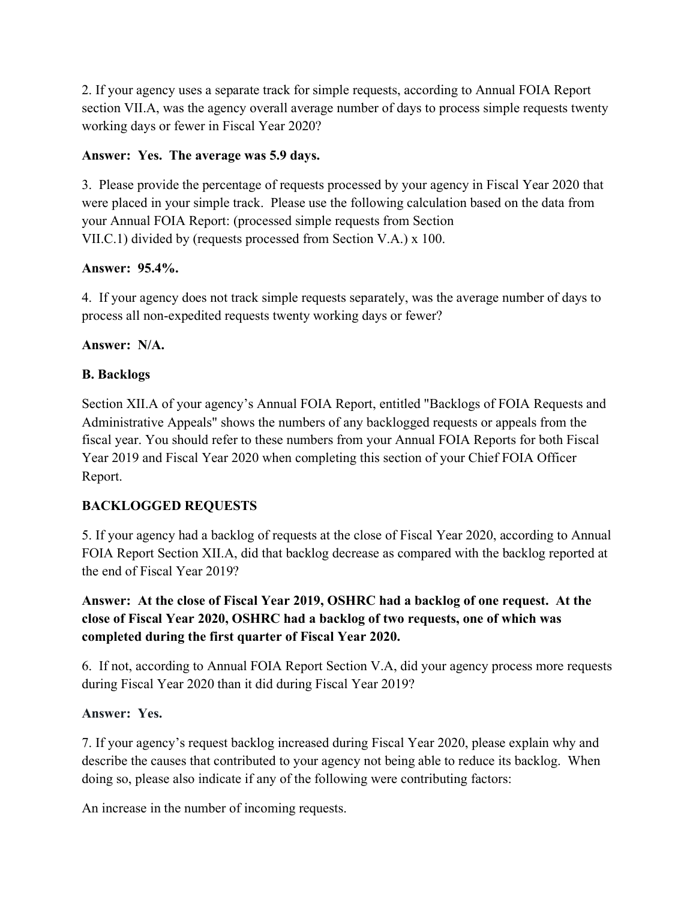2. If your agency uses a separate track for simple requests, according to Annual FOIA Report section VII.A, was the agency overall average number of days to process simple requests twenty working days or fewer in Fiscal Year 2020?

## **Answer: Yes. The average was 5.9 days.**

3. Please provide the percentage of requests processed by your agency in Fiscal Year 2020 that were placed in your simple track. Please use the following calculation based on the data from your Annual FOIA Report: (processed simple requests from Section VII.C.1) divided by (requests processed from Section V.A.) x 100.

## **Answer: 95.4%.**

4. If your agency does not track simple requests separately, was the average number of days to process all non-expedited requests twenty working days or fewer?

## **Answer: N/A.**

## **B. Backlogs**

Section XII.A of your agency's Annual FOIA Report, entitled "Backlogs of FOIA Requests and Administrative Appeals" shows the numbers of any backlogged requests or appeals from the fiscal year. You should refer to these numbers from your Annual FOIA Reports for both Fiscal Year 2019 and Fiscal Year 2020 when completing this section of your Chief FOIA Officer Report.

# **BACKLOGGED REQUESTS**

5. If your agency had a backlog of requests at the close of Fiscal Year 2020, according to Annual FOIA Report Section XII.A, did that backlog decrease as compared with the backlog reported at the end of Fiscal Year 2019?

# **Answer: At the close of Fiscal Year 2019, OSHRC had a backlog of one request. At the close of Fiscal Year 2020, OSHRC had a backlog of two requests, one of which was completed during the first quarter of Fiscal Year 2020.**

6. If not, according to Annual FOIA Report Section V.A, did your agency process more requests during Fiscal Year 2020 than it did during Fiscal Year 2019?

# **Answer: Yes.**

7. If your agency's request backlog increased during Fiscal Year 2020, please explain why and describe the causes that contributed to your agency not being able to reduce its backlog. When doing so, please also indicate if any of the following were contributing factors:

An increase in the number of incoming requests.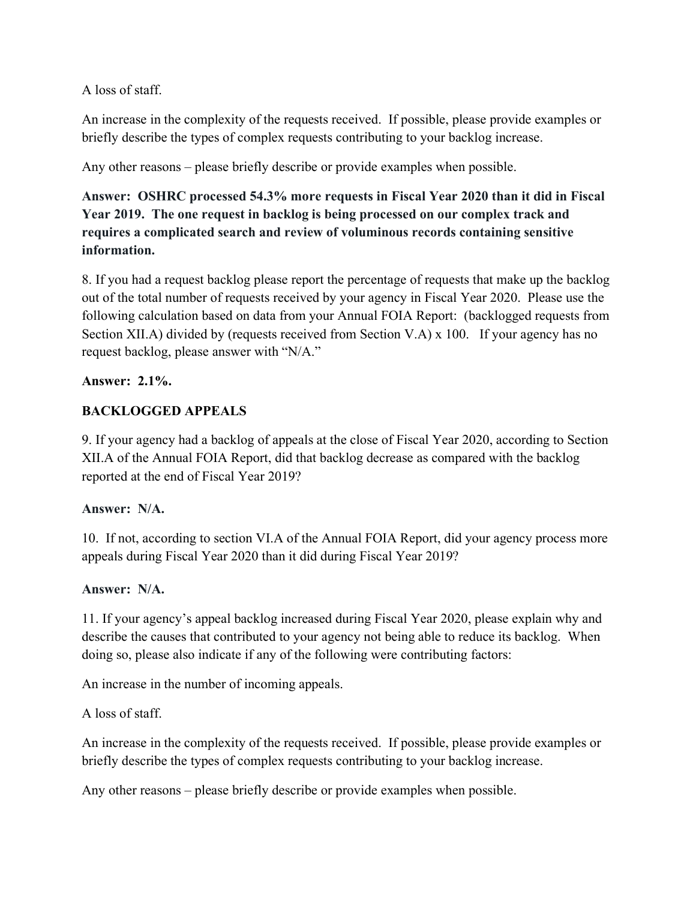A loss of staff.

An increase in the complexity of the requests received. If possible, please provide examples or briefly describe the types of complex requests contributing to your backlog increase.

Any other reasons – please briefly describe or provide examples when possible.

**Answer: OSHRC processed 54.3% more requests in Fiscal Year 2020 than it did in Fiscal Year 2019. The one request in backlog is being processed on our complex track and requires a complicated search and review of voluminous records containing sensitive information.** 

8. If you had a request backlog please report the percentage of requests that make up the backlog out of the total number of requests received by your agency in Fiscal Year 2020. Please use the following calculation based on data from your Annual FOIA Report: (backlogged requests from Section XII.A) divided by (requests received from Section V.A) x 100. If your agency has no request backlog, please answer with "N/A."

## **Answer: 2.1%.**

## **BACKLOGGED APPEALS**

9. If your agency had a backlog of appeals at the close of Fiscal Year 2020, according to Section XII.A of the Annual FOIA Report, did that backlog decrease as compared with the backlog reported at the end of Fiscal Year 2019?

## **Answer: N/A.**

10. If not, according to section VI.A of the Annual FOIA Report, did your agency process more appeals during Fiscal Year 2020 than it did during Fiscal Year 2019?

## **Answer: N/A.**

11. If your agency's appeal backlog increased during Fiscal Year 2020, please explain why and describe the causes that contributed to your agency not being able to reduce its backlog. When doing so, please also indicate if any of the following were contributing factors:

An increase in the number of incoming appeals.

A loss of staff.

An increase in the complexity of the requests received. If possible, please provide examples or briefly describe the types of complex requests contributing to your backlog increase.

Any other reasons – please briefly describe or provide examples when possible.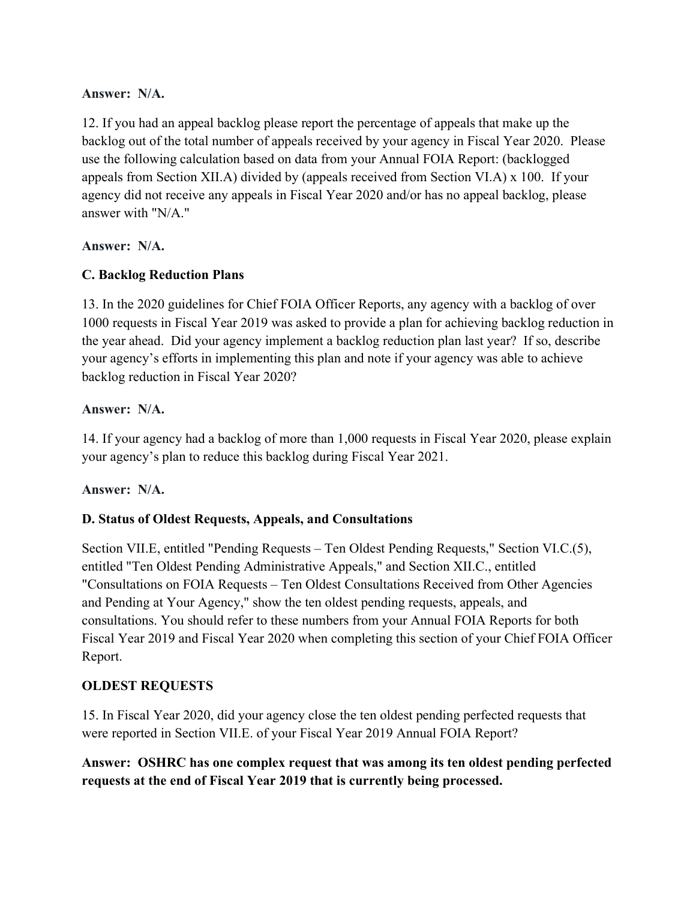## **Answer: N/A.**

12. If you had an appeal backlog please report the percentage of appeals that make up the backlog out of the total number of appeals received by your agency in Fiscal Year 2020. Please use the following calculation based on data from your Annual FOIA Report: (backlogged appeals from Section XII.A) divided by (appeals received from Section VI.A) x 100. If your agency did not receive any appeals in Fiscal Year 2020 and/or has no appeal backlog, please answer with "N/A."

## **Answer: N/A.**

## **C. Backlog Reduction Plans**

13. In the 2020 guidelines for Chief FOIA Officer Reports, any agency with a backlog of over 1000 requests in Fiscal Year 2019 was asked to provide a plan for achieving backlog reduction in the year ahead. Did your agency implement a backlog reduction plan last year? If so, describe your agency's efforts in implementing this plan and note if your agency was able to achieve backlog reduction in Fiscal Year 2020?

## **Answer: N/A.**

14. If your agency had a backlog of more than 1,000 requests in Fiscal Year 2020, please explain your agency's plan to reduce this backlog during Fiscal Year 2021.

## **Answer: N/A.**

# **D. Status of Oldest Requests, Appeals, and Consultations**

Section VII.E, entitled "Pending Requests – Ten Oldest Pending Requests," Section VI.C.(5), entitled "Ten Oldest Pending Administrative Appeals," and Section XII.C., entitled "Consultations on FOIA Requests – Ten Oldest Consultations Received from Other Agencies and Pending at Your Agency," show the ten oldest pending requests, appeals, and consultations. You should refer to these numbers from your Annual FOIA Reports for both Fiscal Year 2019 and Fiscal Year 2020 when completing this section of your Chief FOIA Officer Report.

## **OLDEST REQUESTS**

15. In Fiscal Year 2020, did your agency close the ten oldest pending perfected requests that were reported in Section VII.E. of your Fiscal Year 2019 Annual FOIA Report?

**Answer: OSHRC has one complex request that was among its ten oldest pending perfected requests at the end of Fiscal Year 2019 that is currently being processed.**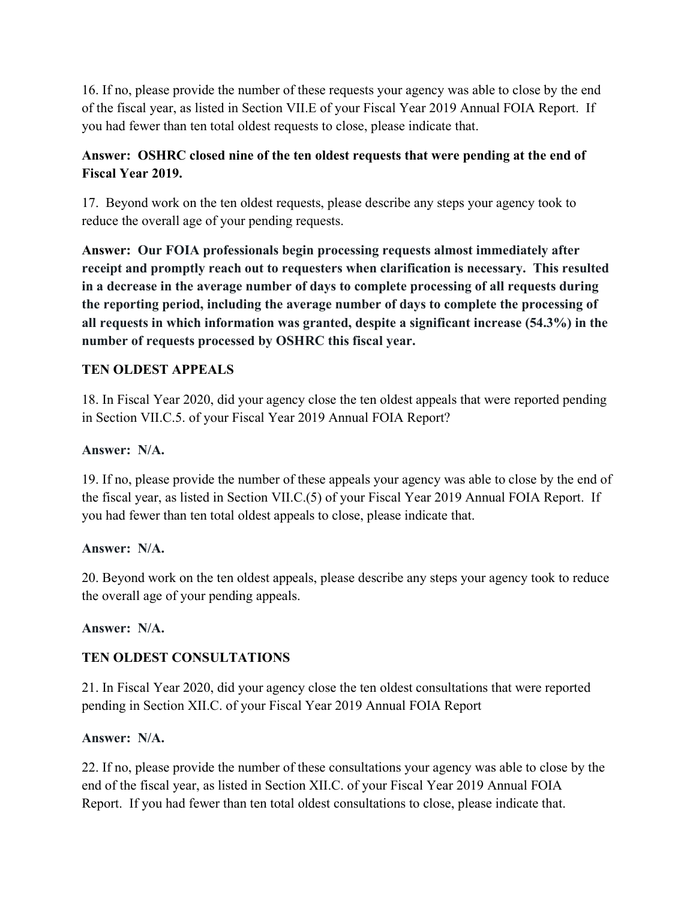16. If no, please provide the number of these requests your agency was able to close by the end of the fiscal year, as listed in Section VII.E of your Fiscal Year 2019 Annual FOIA Report. If you had fewer than ten total oldest requests to close, please indicate that.

# **Answer: OSHRC closed nine of the ten oldest requests that were pending at the end of Fiscal Year 2019.**

17. Beyond work on the ten oldest requests, please describe any steps your agency took to reduce the overall age of your pending requests.

**Answer: Our FOIA professionals begin processing requests almost immediately after receipt and promptly reach out to requesters when clarification is necessary. This resulted in a decrease in the average number of days to complete processing of all requests during the reporting period, including the average number of days to complete the processing of all requests in which information was granted, despite a significant increase (54.3%) in the number of requests processed by OSHRC this fiscal year.** 

# **TEN OLDEST APPEALS**

18. In Fiscal Year 2020, did your agency close the ten oldest appeals that were reported pending in Section VII.C.5. of your Fiscal Year 2019 Annual FOIA Report?

## **Answer: N/A.**

19. If no, please provide the number of these appeals your agency was able to close by the end of the fiscal year, as listed in Section VII.C.(5) of your Fiscal Year 2019 Annual FOIA Report. If you had fewer than ten total oldest appeals to close, please indicate that.

## **Answer: N/A.**

20. Beyond work on the ten oldest appeals, please describe any steps your agency took to reduce the overall age of your pending appeals.

**Answer: N/A.** 

# **TEN OLDEST CONSULTATIONS**

21. In Fiscal Year 2020, did your agency close the ten oldest consultations that were reported pending in Section XII.C. of your Fiscal Year 2019 Annual FOIA Report

## **Answer: N/A.**

22. If no, please provide the number of these consultations your agency was able to close by the end of the fiscal year, as listed in Section XII.C. of your Fiscal Year 2019 Annual FOIA Report. If you had fewer than ten total oldest consultations to close, please indicate that.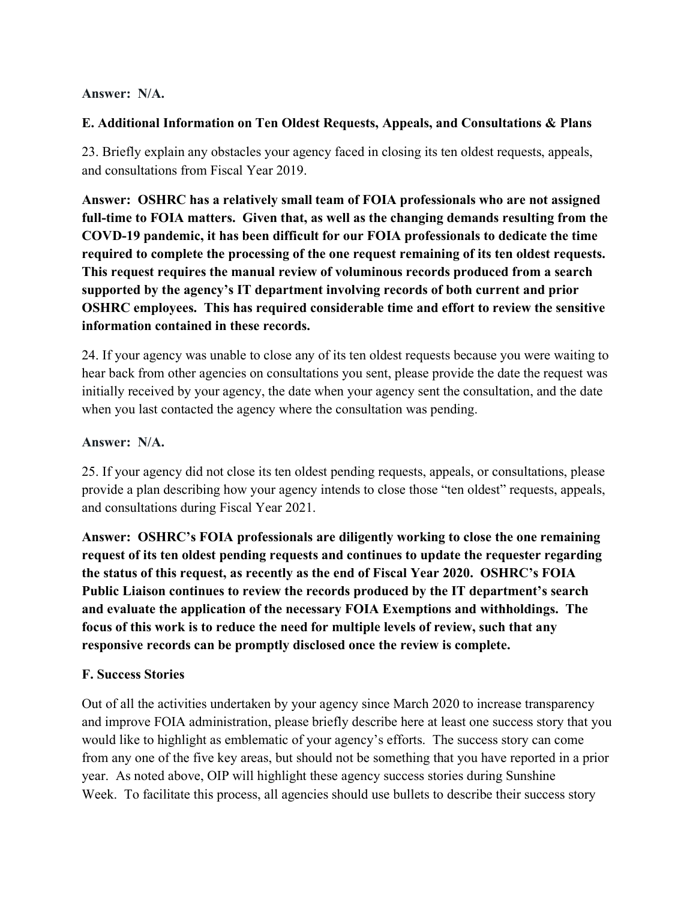## **Answer: N/A.**

## **E. Additional Information on Ten Oldest Requests, Appeals, and Consultations & Plans**

23. Briefly explain any obstacles your agency faced in closing its ten oldest requests, appeals, and consultations from Fiscal Year 2019.

**Answer: OSHRC has a relatively small team of FOIA professionals who are not assigned full-time to FOIA matters. Given that, as well as the changing demands resulting from the COVD-19 pandemic, it has been difficult for our FOIA professionals to dedicate the time required to complete the processing of the one request remaining of its ten oldest requests. This request requires the manual review of voluminous records produced from a search supported by the agency's IT department involving records of both current and prior OSHRC employees. This has required considerable time and effort to review the sensitive information contained in these records.** 

24. If your agency was unable to close any of its ten oldest requests because you were waiting to hear back from other agencies on consultations you sent, please provide the date the request was initially received by your agency, the date when your agency sent the consultation, and the date when you last contacted the agency where the consultation was pending.

## **Answer: N/A.**

25. If your agency did not close its ten oldest pending requests, appeals, or consultations, please provide a plan describing how your agency intends to close those "ten oldest" requests, appeals, and consultations during Fiscal Year 2021.

**Answer: OSHRC's FOIA professionals are diligently working to close the one remaining request of its ten oldest pending requests and continues to update the requester regarding the status of this request, as recently as the end of Fiscal Year 2020. OSHRC's FOIA Public Liaison continues to review the records produced by the IT department's search and evaluate the application of the necessary FOIA Exemptions and withholdings. The focus of this work is to reduce the need for multiple levels of review, such that any responsive records can be promptly disclosed once the review is complete.** 

# **F. Success Stories**

Out of all the activities undertaken by your agency since March 2020 to increase transparency and improve FOIA administration, please briefly describe here at least one success story that you would like to highlight as emblematic of your agency's efforts. The success story can come from any one of the five key areas, but should not be something that you have reported in a prior year. As noted above, OIP will highlight these agency success stories during Sunshine Week. To facilitate this process, all agencies should use bullets to describe their success story